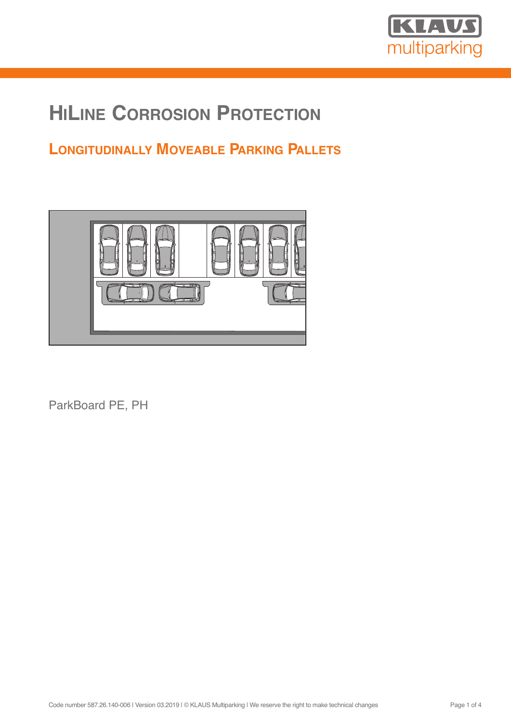

# **HILINE CORROSION PROTECTION**

## **LONGITUDINALLY MOVEABLE PARKING PALLETS**



ParkBoard PE, PH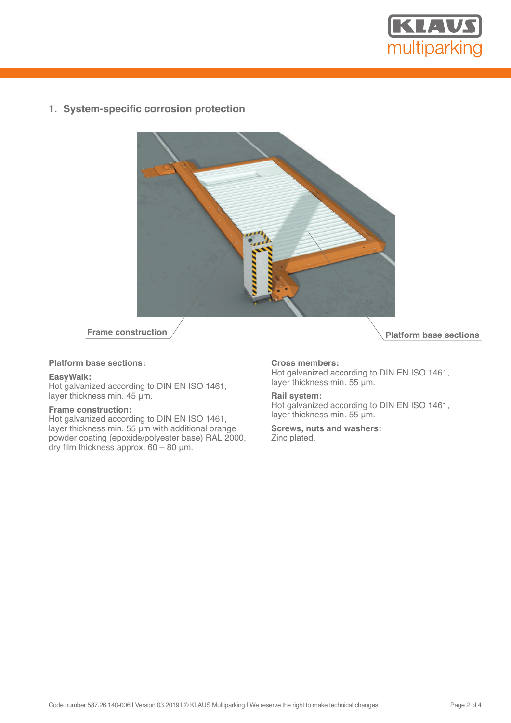

**1. System-specific corrosion protection**



## **Platform base sections:**

## **EasyWalk:**

Hot galvanized according to DIN EN ISO 1461, layer thickness min. 45 µm.

## **Frame construction:**

Hot galvanized according to DIN EN ISO 1461, layer thickness min. 55 µm with additional orange powder coating (epoxide/polyester base) RAL 2000, dry film thickness approx.  $60 - 80$  µm.

**Prame construction** 

## **Cross members:**

Hot galvanized according to DIN EN ISO 1461, layer thickness min. 55 µm.

#### **Rail system:**

Hot galvanized according to DIN EN ISO 1461, layer thickness min. 55 µm.

**Screws, nuts and washers:** Zinc plated.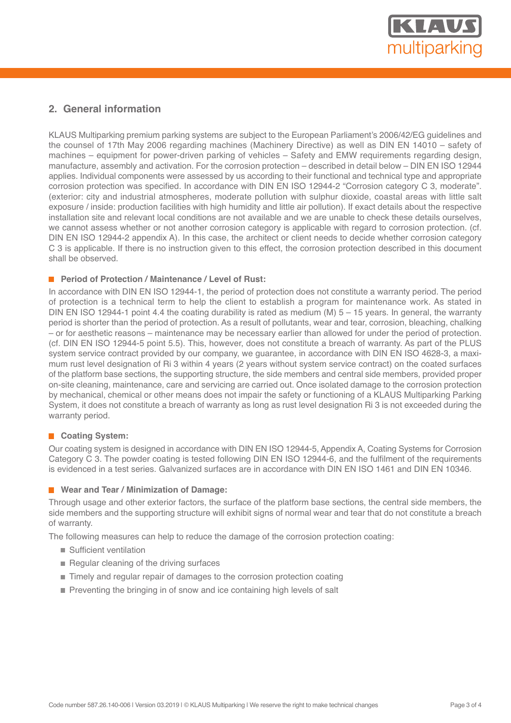

## **2. General information**

KLAUS Multiparking premium parking systems are subject to the European Parliament's 2006/42/EG guidelines and the counsel of 17th May 2006 regarding machines (Machinery Directive) as well as DIN EN 14010 – safety of machines – equipment for power-driven parking of vehicles – Safety and EMW requirements regarding design, manufacture, assembly and activation. For the corrosion protection – described in detail below – DIN EN ISO 12944 applies. Individual components were assessed by us according to their functional and technical type and appropriate corrosion protection was specified. In accordance with DIN EN ISO 12944-2 "Corrosion category C 3, moderate". (exterior: city and industrial atmospheres, moderate pollution with sulphur dioxide, coastal areas with little salt exposure / inside: production facilities with high humidity and little air pollution). If exact details about the respective installation site and relevant local conditions are not available and we are unable to check these details ourselves, we cannot assess whether or not another corrosion category is applicable with regard to corrosion protection. (cf. DIN EN ISO 12944-2 appendix A). In this case, the architect or client needs to decide whether corrosion category C 3 is applicable. If there is no instruction given to this effect, the corrosion protection described in this document shall be observed.

## **Period of Protection / Maintenance / Level of Rust:**

In accordance with DIN EN ISO 12944-1, the period of protection does not constitute a warranty period. The period of protection is a technical term to help the client to establish a program for maintenance work. As stated in DIN EN ISO 12944-1 point 4.4 the coating durability is rated as medium (M)  $5 - 15$  years. In general, the warranty period is shorter than the period of protection. As a result of pollutants, wear and tear, corrosion, bleaching, chalking – or for aesthetic reasons – maintenance may be necessary earlier than allowed for under the period of protection. (cf. DIN EN ISO 12944-5 point 5.5). This, however, does not constitute a breach of warranty. As part of the PLUS system service contract provided by our company, we guarantee, in accordance with DIN EN ISO 4628-3, a maximum rust level designation of Ri 3 within 4 years (2 years without system service contract) on the coated surfaces of the platform base sections, the supporting structure, the side members and central side members, provided proper on-site cleaning, maintenance, care and servicing are carried out. Once isolated damage to the corrosion protection by mechanical, chemical or other means does not impair the safety or functioning of a KLAUS Multiparking Parking System, it does not constitute a breach of warranty as long as rust level designation Ri 3 is not exceeded during the warranty period.

## **Coating System:**

Our coating system is designed in accordance with DIN EN ISO 12944-5, Appendix A, Coating Systems for Corrosion Category C 3. The powder coating is tested following DIN EN ISO 12944-6, and the fulfilment of the requirements is evidenced in a test series. Galvanized surfaces are in accordance with DIN EN ISO 1461 and DIN EN 10346.

## **Wear and Tear / Minimization of Damage:**

Through usage and other exterior factors, the surface of the platform base sections, the central side members, the side members and the supporting structure will exhibit signs of normal wear and tear that do not constitute a breach of warranty.

The following measures can help to reduce the damage of the corrosion protection coating:

- Sufficient ventilation
- $\blacksquare$  Regular cleaning of the driving surfaces
- Timely and regular repair of damages to the corrosion protection coating
- **Preventing the bringing in of snow and ice containing high levels of salt**